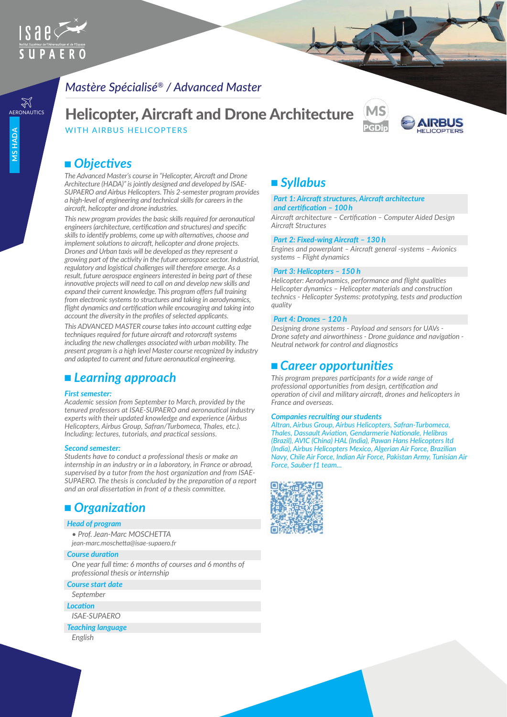

# *Mastère Spécialisé® / Advanced Master*

# **AERONAUTICS** Helicopter, Aircraft and Drone Architecture WITH AIRBUS HELICOPTERS



# ■ Objectives

*The Advanced Master's course in "Helicopter, Aircraft and Drone Architecture (HADA)" is jointly designed and developed by ISAE-SUPAERO and Airbus Helicopters. This 2-semester program provides a high-level of engineering and technical skills for careers in the aircraft, helicopter and drone industries.*

*This new program provides the basic skills required for aeronautical engineers (architecture, certification and structures) and specific skills to identify problems, come up with alternatives, choose and implement solutions to aircraft, helicopter and drone projects. Drones and Urban taxis will be developed as they represent a growing part of the activity in the future aerospace sector. Industrial, regulatory and logistical challenges will therefore emerge. As a result, future aerospace engineers interested in being part of these innovative projects will need to call on and develop new skills and expand their current knowledge. This program offers full training from electronic systems to structures and taking in aerodynamics, flight dynamics and certification while encouraging and taking into account the diversity in the profiles of selected applicants.*

*This ADVANCED MASTER course takes into account cutting edge techniques required for future aircraft and rotorcraft systems including the new challenges associated with urban mobility. The present program is a high level Master course recognized by industry and adapted to current and future aeronautical engineering.*

# <sup>n</sup> *Learning approach*

#### *First semester:*

*Academic session from September to March, provided by the tenured professors at ISAE-SUPAERO and aeronautical industry experts with their updated knowledge and experience (Airbus Helicopters, Airbus Group, Safran/Turbomeca, Thales, etc.). Including: lectures, tutorials, and practical sessions.*

#### *Second semester:*

*Students have to conduct a professional thesis or make an internship in an industry or in a laboratory, in France or abroad, supervised by a tutor from the host organization and from ISAE-SUPAERO. The thesis is concluded by the preparation of a report and an oral dissertation in front of a thesis committee.*

### ■ *Organization*

#### *Head of program*

*• Prof. Jean-Marc MOSCHETTA jean-marc.moschetta@isae-supaero.fr*

#### *Course duration*

*One year full time: 6 months of courses and 6 months of professional thesis or internship* 

*Course start date*

#### *September*

*Location*

*ISAE-SUPAERO*

*Teaching language*

*English*

## <sup>n</sup> *Syllabus*

#### *Part 1: Aircraft structures, Aircraft architecture and certification – 100 h*

*Aircraft architecture – Certification – Computer Aided Design Aircraft Structures*

#### *Part 2: Fixed-wing Aircraft – 130 h*

*Engines and powerplant – Aircraft general -systems – Avionics systems – Flight dynamics*

#### *Part 3: Helicopters – 150 h*

*Helicopter: Aerodynamics, performance and flight qualities Helicopter dynamics – Helicopter materials and construction technics - Helicopter Systems: prototyping, tests and production quality*

#### *Part 4: Drones – 120 h*

*Designing drone systems - Payload and sensors for UAVs - Drone safety and airworthiness - Drone guidance and navigation - Neutral network for control and diagnostics*

### <sup>n</sup>*Career opportunities*

*This program prepares participants for a wide range of professional opportunities from design, certification and operation of civil and military aircraft, drones and helicopters in France and overseas.*

#### *Companies recruiting our students*

*Altran, Airbus Group, Airbus Helicopters, Safran-Turbomeca, Thales, Dassault Aviation, Gendarmerie Nationale, Helibras (Brazil), AVIC (China) HAL (India), Pawan Hans Helicopters ltd (India), Airbus Helicopters Mexico, Algerian Air Force, Brazilian Navy, Chile Air Force, Indian Air Force, Pakistan Army, Tunisian Air Force, Sauber f1 team...*

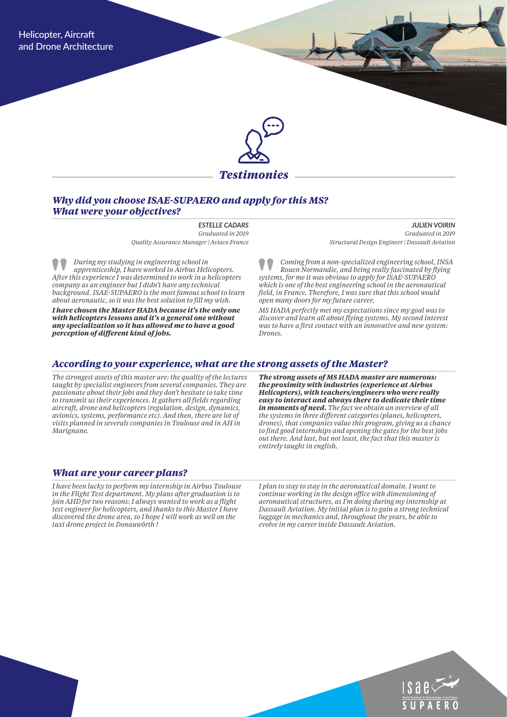

*Testimonies*

### *Why did you choose ISAE-SUPAERO and apply for this MS? What were your objectives?*

*ESTELLE CADARS Graduated in 2019*

*Quality Assurance Manager | Aviaco France* 

*During my studying in engineering school in apprenticeship, I have worked in Airbus Helicopters. After this experience I was determined to work in a helicopters company as an engineer but I didn't have any technical background. ISAE-SUPAERO is the most famous school to learn about aeronautic, so it was the best solution to fill my wish.*

*I have chosen the Master HADA because it's the only one with helicopters lessons and it's a general one without any specialization so it has allowed me to have a good perception of different kind of jobs.*

*JULIEN VOIRIN Graduated in 2019 Structural Design Engineer | Dassault Aviation* 

*Coming from a non-specialized engineering school, INSA Rouen Normandie, and being really fascinated by flying systems, for me it was obvious to apply for ISAE-SUPAERO which is one of the best engineering school in the aeronautical field, in France. Therefore, I was sure that this school would open many doors for my future career.*

*MS HADA perfectly met my expectations since my goal was to discover and learn all about flying systems. My second interest was to have a first contact with an innovative and new system: Drones.* 

#### *According to your experience, what are the strong assets of the Master?*

*The strongest assets of this master are: the quality of the lectures taught by specialist engineers from several companies. They are passionate about their jobs and they don't hesitate to take time to transmit us their experiences. It gathers all fields regarding aircraft, drone and helicopters (regulation, design, dynamics, avionics, systems, performance etc). And then, there are lot of visits planned in severals companies in Toulouse and in AH in Marignane.* 

*The strong assets of MS HADA master are numerous: the proximity with industries (experience at Airbus Helicopters), with teachers/engineers who were really easy to interact and always there to dedicate their time in moments of need. The fact we obtain an overview of all the systems in three different categories (planes, helicopters, drones), that companies value this program, giving us a chance to find good internships and opening the gates for the best jobs out there. And last, but not least, the fact that this master is entirely taught in english.*

#### *What are your career plans?*

*I have been lucky to perform my internship in Airbus Toulouse in the Flight Test department. My plans after graduation is to join AHD for two reasons: I always wanted to work as a flight test engineer for helicopters, and thanks to this Master I have discovered the drone area, so I hope I will work as well on the taxi drone project in Donauwörth !*

*I plan to stay to stay in the aeronautical domain. I want to continue working in the design office with dimensioning of aeronautical structures, as I'm doing during my internship at Dassault Aviation. My initial plan is to gain a strong technical luggage in mechanics and, throughout the years, be able to evolve in my career inside Dassault Aviation.*